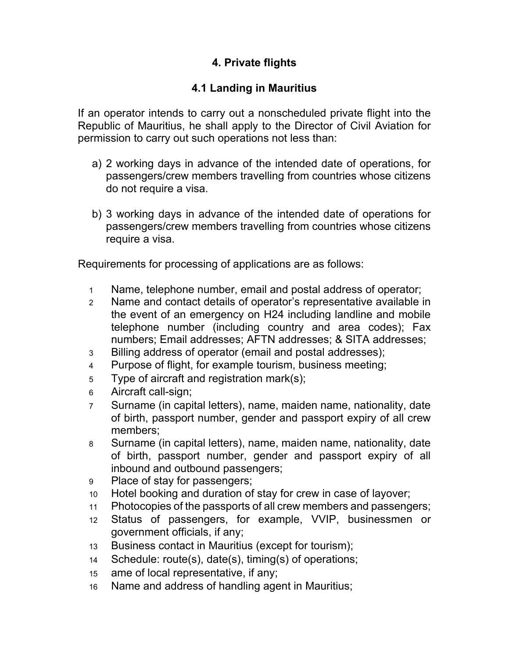## **4. Private flights**

## **4.1 Landing in Mauritius**

If an operator intends to carry out a nonscheduled private flight into the Republic of Mauritius, he shall apply to the Director of Civil Aviation for permission to carry out such operations not less than:

- a) 2 working days in advance of the intended date of operations, for passengers/crew members travelling from countries whose citizens do not require a visa.
- b) 3 working days in advance of the intended date of operations for passengers/crew members travelling from countries whose citizens require a visa.

Requirements for processing of applications are as follows:

- 1 Name, telephone number, email and postal address of operator;
- 2 Name and contact details of operator's representative available in the event of an emergency on H24 including landline and mobile telephone number (including country and area codes); Fax numbers; Email addresses; AFTN addresses; & SITA addresses;
- 3 Billing address of operator (email and postal addresses);
- 4 Purpose of flight, for example tourism, business meeting;
- 5 Type of aircraft and registration mark(s);
- 6 Aircraft call-sign;
- 7 Surname (in capital letters), name, maiden name, nationality, date of birth, passport number, gender and passport expiry of all crew members;
- 8 Surname (in capital letters), name, maiden name, nationality, date of birth, passport number, gender and passport expiry of all inbound and outbound passengers;
- 9 Place of stay for passengers;
- 10 Hotel booking and duration of stay for crew in case of layover;
- 11 Photocopies of the passports of all crew members and passengers;
- 12 Status of passengers, for example, VVIP, businessmen or government officials, if any;
- 13 Business contact in Mauritius (except for tourism);
- 14 Schedule: route(s), date(s), timing(s) of operations;
- 15 ame of local representative, if any;
- 16 Name and address of handling agent in Mauritius;